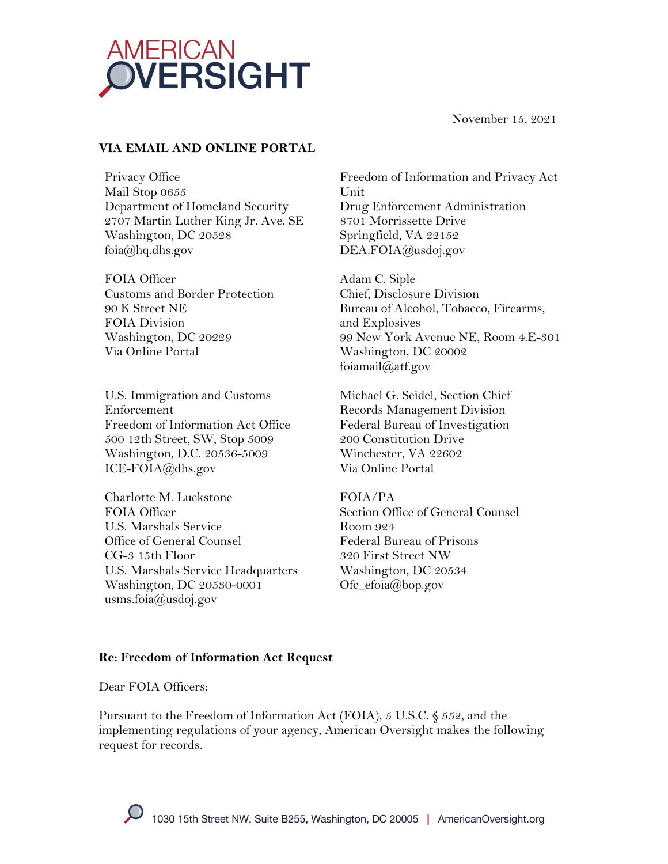

November 15, 2021

# **VIA EMAIL AND ONLINE PORTAL**

Privacy Office Mail Stop 0655 Department of Homeland Security 2707 Martin Luther King Jr. Ave. SE Washington, DC 20528 foia@hq.dhs.gov

FOIA Officer Customs and Border Protection 90 K Street NE FOIA Division Washington, DC 20229 Via Online Portal

U.S. Immigration and Customs Enforcement Freedom of Information Act Office 500 12th Street, SW, Stop 5009 Washington, D.C. 20536-5009 ICE-FOIA@dhs.gov

Charlotte M. Luckstone FOIA Officer U.S. Marshals Service Office of General Counsel CG-3 15th Floor U.S. Marshals Service Headquarters Washington, DC 20530-0001 usms.foia@usdoj.gov

Freedom of Information and Privacy Act Unit Drug Enforcement Administration 8701 Morrissette Drive Springfield, VA 22152 DEA.FOIA@usdoj.gov

Adam C. Siple Chief, Disclosure Division Bureau of Alcohol, Tobacco, Firearms, and Explosives 99 New York Avenue NE, Room 4.E-301 Washington, DC 20002 foiamail@atf.gov

Michael G. Seidel, Section Chief Records Management Division Federal Bureau of Investigation 200 Constitution Drive Winchester, VA 22602 Via Online Portal

### FOIA/PA

Section Office of General Counsel Room 924 Federal Bureau of Prisons 320 First Street NW Washington, DC 20534 Ofc\_efoia@bop.gov

### **Re: Freedom of Information Act Request**

Dear FOIA Officers<sup>.</sup>

Pursuant to the Freedom of Information Act (FOIA), 5 U.S.C. § 552, and the implementing regulations of your agency, American Oversight makes the following request for records.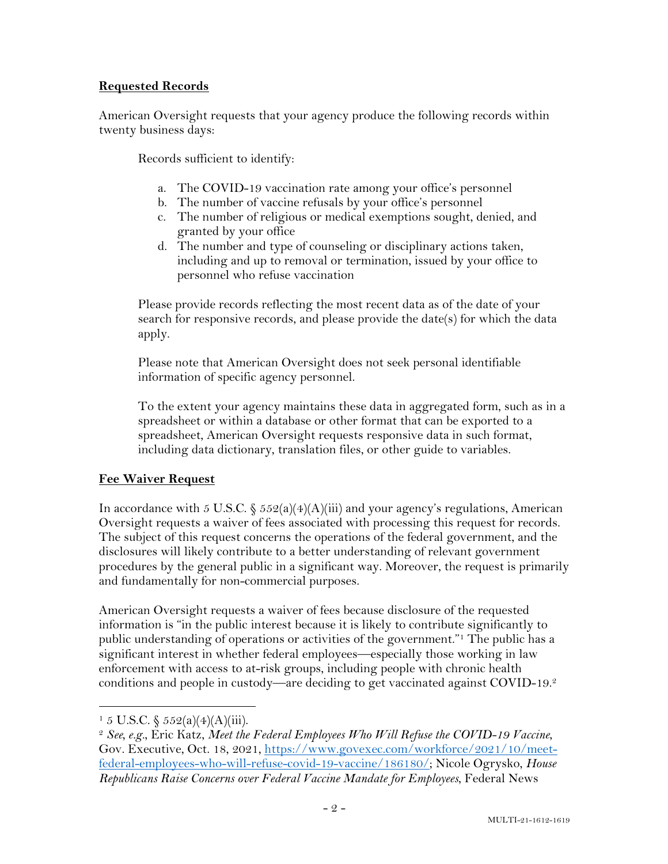### **Requested Records**

American Oversight requests that your agency produce the following records within twenty business days:

Records sufficient to identify:

- a. The COVID-19 vaccination rate among your office's personnel
- b. The number of vaccine refusals by your office's personnel
- c. The number of religious or medical exemptions sought, denied, and granted by your office
- d. The number and type of counseling or disciplinary actions taken, including and up to removal or termination, issued by your office to personnel who refuse vaccination

Please provide records reflecting the most recent data as of the date of your search for responsive records, and please provide the date(s) for which the data apply.

Please note that American Oversight does not seek personal identifiable information of specific agency personnel.

To the extent your agency maintains these data in aggregated form, such as in a spreadsheet or within a database or other format that can be exported to a spreadsheet, American Oversight requests responsive data in such format, including data dictionary, translation files, or other guide to variables.

## **Fee Waiver Request**

In accordance with 5 U.S.C.  $\frac{6}{5}$  552(a)(4)(A)(iii) and your agency's regulations, American Oversight requests a waiver of fees associated with processing this request for records. The subject of this request concerns the operations of the federal government, and the disclosures will likely contribute to a better understanding of relevant government procedures by the general public in a significant way. Moreover, the request is primarily and fundamentally for non-commercial purposes.

American Oversight requests a waiver of fees because disclosure of the requested information is "in the public interest because it is likely to contribute significantly to public understanding of operations or activities of the government."1 The public has a significant interest in whether federal employees—especially those working in law enforcement with access to at-risk groups, including people with chronic health conditions and people in custody—are deciding to get vaccinated against COVID-19. 2

 $1\,5$  U.S.C.  $\frac{552(a)(4)(A)(iii)}{2}$ .

<sup>2</sup> *See, e.g.*, Eric Katz, *Meet the Federal Employees Who Will Refuse the COVID-19 Vaccine*, Gov. Executive, Oct. 18, 2021, https://www.govexec.com/workforce/2021/10/meetfederal-employees-who-will-refuse-covid-19-vaccine/186180/; Nicole Ogrysko, *House Republicans Raise Concerns over Federal Vaccine Mandate for Employees*, Federal News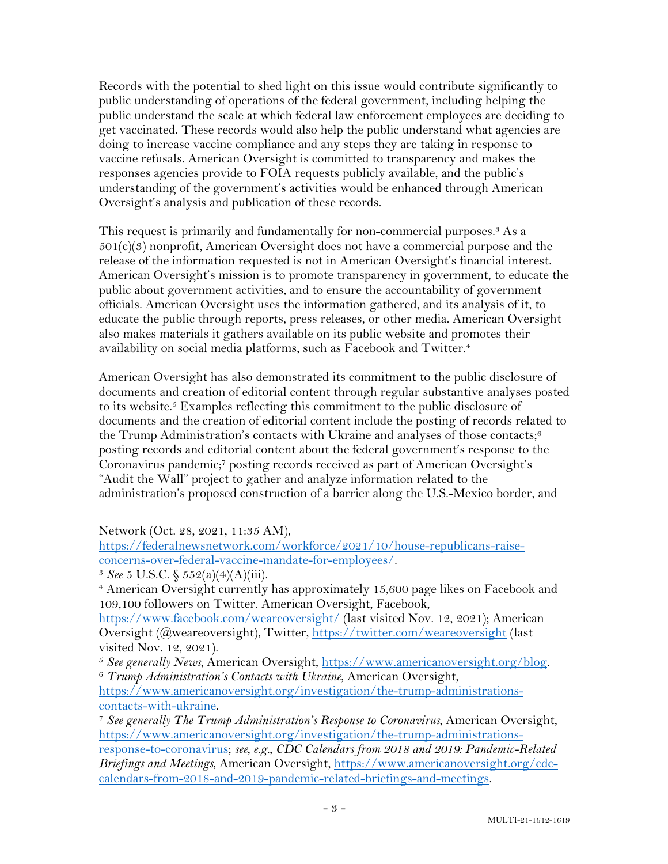Records with the potential to shed light on this issue would contribute significantly to public understanding of operations of the federal government, including helping the public understand the scale at which federal law enforcement employees are deciding to get vaccinated. These records would also help the public understand what agencies are doing to increase vaccine compliance and any steps they are taking in response to vaccine refusals. American Oversight is committed to transparency and makes the responses agencies provide to FOIA requests publicly available, and the public's understanding of the government's activities would be enhanced through American Oversight's analysis and publication of these records.

This request is primarily and fundamentally for non-commercial purposes.<sup>3</sup> As a  $501(c)(3)$  nonprofit, American Oversight does not have a commercial purpose and the release of the information requested is not in American Oversight's financial interest. American Oversight's mission is to promote transparency in government, to educate the public about government activities, and to ensure the accountability of government officials. American Oversight uses the information gathered, and its analysis of it, to educate the public through reports, press releases, or other media. American Oversight also makes materials it gathers available on its public website and promotes their availability on social media platforms, such as Facebook and Twitter.4

American Oversight has also demonstrated its commitment to the public disclosure of documents and creation of editorial content through regular substantive analyses posted to its website.5 Examples reflecting this commitment to the public disclosure of documents and the creation of editorial content include the posting of records related to the Trump Administration's contacts with Ukraine and analyses of those contacts; $6$ posting records and editorial content about the federal government's response to the Coronavirus pandemic;7 posting records received as part of American Oversight's "Audit the Wall" project to gather and analyze information related to the administration's proposed construction of a barrier along the U.S.-Mexico border, and

Network (Oct. 28, 2021, 11:35 AM),

https://federalnewsnetwork.com/workforce/2021/10/house-republicans-raiseconcerns-over-federal-vaccine-mandate-for-employees/. 3 *See* 5 U.S.C. § 552(a)(4)(A)(iii).

<sup>4</sup> American Oversight currently has approximately 15,600 page likes on Facebook and 109,100 followers on Twitter. American Oversight, Facebook,

https://www.facebook.com/weareoversight/ (last visited Nov. 12, 2021); American Oversight (@weareoversight), Twitter, https://twitter.com/weareoversight (last visited Nov. 12, 2021).

<sup>5</sup> *See generally News*, American Oversight, https://www.americanoversight.org/blog. 6 *Trump Administration's Contacts with Ukraine*, American Oversight,

https://www.americanoversight.org/investigation/the-trump-administrationscontacts-with-ukraine.

<sup>7</sup> *See generally The Trump Administration's Response to Coronavirus*, American Oversight, https://www.americanoversight.org/investigation/the-trump-administrationsresponse-to-coronavirus; *see, e.g.*, *CDC Calendars from 2018 and 2019: Pandemic-Related Briefings and Meetings*, American Oversight, https://www.americanoversight.org/cdccalendars-from-2018-and-2019-pandemic-related-briefings-and-meetings.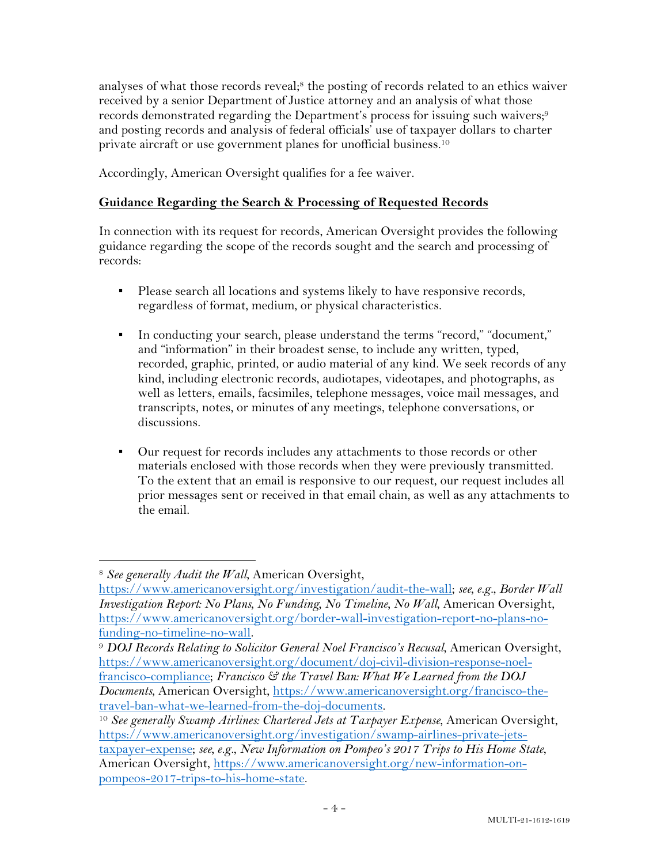analyses of what those records reveal;<sup>8</sup> the posting of records related to an ethics waiver received by a senior Department of Justice attorney and an analysis of what those records demonstrated regarding the Department's process for issuing such waivers;<sup>9</sup> and posting records and analysis of federal officials' use of taxpayer dollars to charter private aircraft or use government planes for unofficial business. 10

Accordingly, American Oversight qualifies for a fee waiver.

# **Guidance Regarding the Search & Processing of Requested Records**

In connection with its request for records, American Oversight provides the following guidance regarding the scope of the records sought and the search and processing of records:

- Please search all locations and systems likely to have responsive records, regardless of format, medium, or physical characteristics.
- In conducting your search, please understand the terms "record," "document," and "information" in their broadest sense, to include any written, typed, recorded, graphic, printed, or audio material of any kind. We seek records of any kind, including electronic records, audiotapes, videotapes, and photographs, as well as letters, emails, facsimiles, telephone messages, voice mail messages, and transcripts, notes, or minutes of any meetings, telephone conversations, or discussions.
- Our request for records includes any attachments to those records or other materials enclosed with those records when they were previously transmitted. To the extent that an email is responsive to our request, our request includes all prior messages sent or received in that email chain, as well as any attachments to the email.

<sup>8</sup> *See generally Audit the Wall*, American Oversight,

https://www.americanoversight.org/investigation/audit-the-wall; *see, e.g.*, *Border Wall Investigation Report: No Plans, No Funding, No Timeline, No Wall*, American Oversight, https://www.americanoversight.org/border-wall-investigation-report-no-plans-nofunding-no-timeline-no-wall. 9 *DOJ Records Relating to Solicitor General Noel Francisco's Recusal*, American Oversight,

https://www.americanoversight.org/document/doj-civil-division-response-noelfrancisco-compliance; *Francisco & the Travel Ban: What We Learned from the DOJ Documents*, American Oversight, https://www.americanoversight.org/francisco-thetravel-ban-what-we-learned-from-the-doj-documents.

<sup>&</sup>lt;sup>10</sup> See generally Swamp Airlines: Chartered Jets at Taxpayer Expense, American Oversight, https://www.americanoversight.org/investigation/swamp-airlines-private-jetstaxpayer-expense; *see, e.g.*, *New Information on Pompeo's 2017 Trips to His Home State*, American Oversight, https://www.americanoversight.org/new-information-onpompeos-2017-trips-to-his-home-state.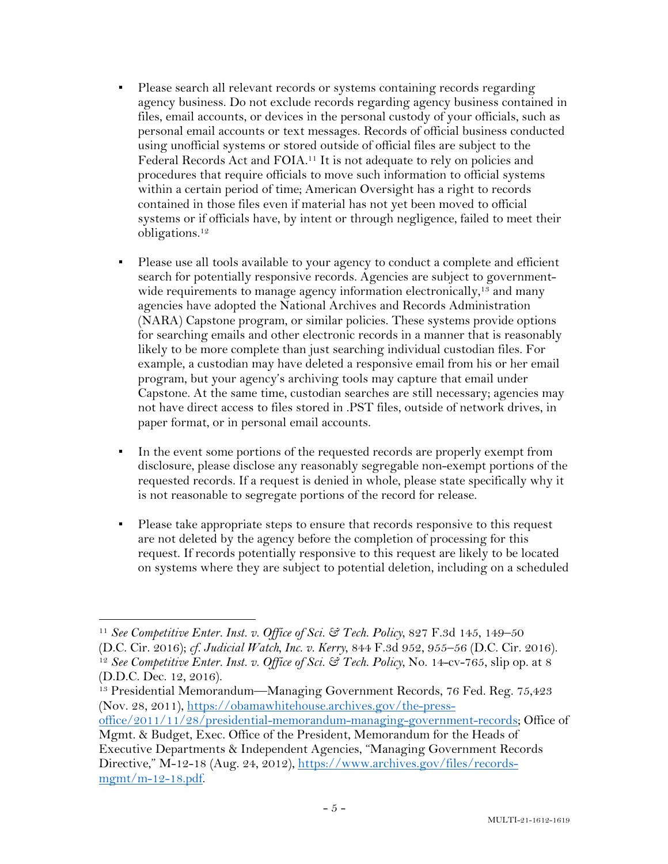- Please search all relevant records or systems containing records regarding agency business. Do not exclude records regarding agency business contained in files, email accounts, or devices in the personal custody of your officials, such as personal email accounts or text messages. Records of official business conducted using unofficial systems or stored outside of official files are subject to the Federal Records Act and FOIA.11 It is not adequate to rely on policies and procedures that require officials to move such information to official systems within a certain period of time; American Oversight has a right to records contained in those files even if material has not yet been moved to official systems or if officials have, by intent or through negligence, failed to meet their obligations.12
- Please use all tools available to your agency to conduct a complete and efficient search for potentially responsive records. Agencies are subject to governmentwide requirements to manage agency information electronically,<sup>13</sup> and many agencies have adopted the National Archives and Records Administration (NARA) Capstone program, or similar policies. These systems provide options for searching emails and other electronic records in a manner that is reasonably likely to be more complete than just searching individual custodian files. For example, a custodian may have deleted a responsive email from his or her email program, but your agency's archiving tools may capture that email under Capstone. At the same time, custodian searches are still necessary; agencies may not have direct access to files stored in .PST files, outside of network drives, in paper format, or in personal email accounts.
- In the event some portions of the requested records are properly exempt from disclosure, please disclose any reasonably segregable non-exempt portions of the requested records. If a request is denied in whole, please state specifically why it is not reasonable to segregate portions of the record for release.
- Please take appropriate steps to ensure that records responsive to this request are not deleted by the agency before the completion of processing for this request. If records potentially responsive to this request are likely to be located on systems where they are subject to potential deletion, including on a scheduled

<sup>11</sup> *See Competitive Enter. Inst. v. Office of Sci. & Tech. Policy*, 827 F.3d 145, 149–50 (D.C. Cir. 2016); *cf. Judicial Watch, Inc. v. Kerry*, 844 F.3d 952, 955–56 (D.C. Cir. 2016). 12 *See Competitive Enter. Inst. v. Office of Sci. & Tech. Policy*, No. 14-cv-765, slip op. at 8 (D.D.C. Dec. 12, 2016).

<sup>13</sup> Presidential Memorandum—Managing Government Records, 76 Fed. Reg. 75,423 (Nov. 28, 2011), https://obamawhitehouse.archives.gov/the-press-

office/2011/11/28/presidential-memorandum-managing-government-records; Office of Mgmt. & Budget, Exec. Office of the President, Memorandum for the Heads of

Executive Departments & Independent Agencies, "Managing Government Records Directive," M-12-18 (Aug. 24, 2012), https://www.archives.gov/files/recordsmgmt/m-12-18.pdf.